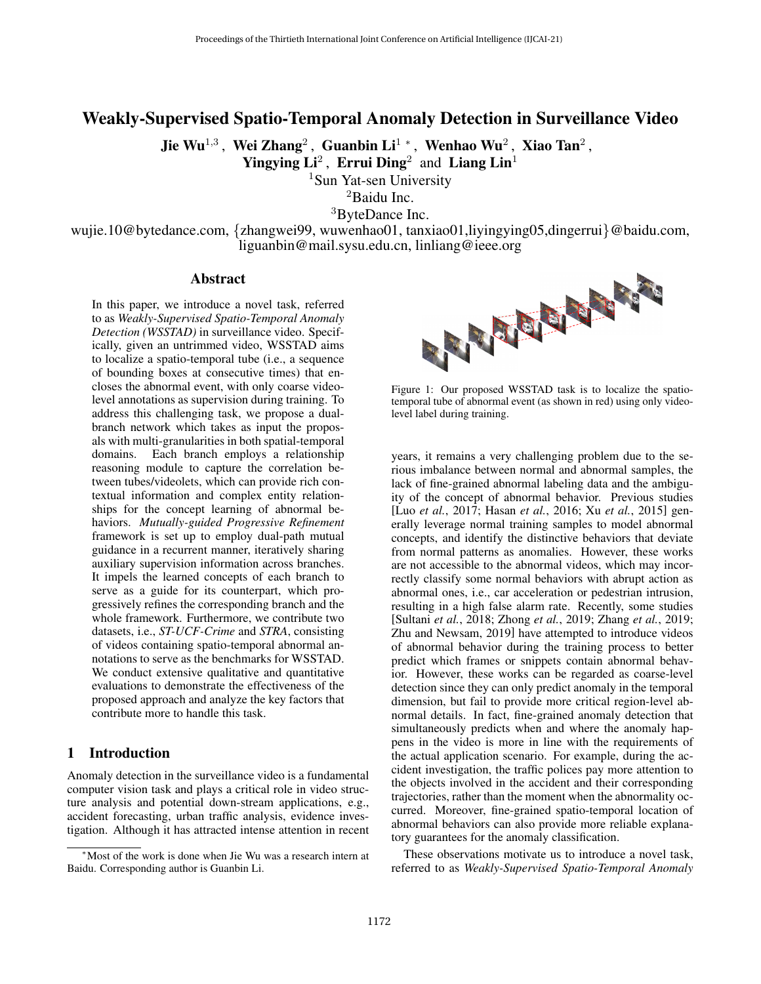# Weakly-Supervised Spatio-Temporal Anomaly Detection in Surveillance Video

Jie Wu $^{1,3}$  , Wei Zhang $^2$  , Guanbin Li $^{1\,\,*}$  , Wenhao Wu $^2$  , Xiao Tan $^2$  ,

Yingying  $Li^2$ , Errui Ding<sup>2</sup> and Liang Lin<sup>1</sup>

<sup>1</sup>Sun Yat-sen University

<sup>2</sup>Baidu Inc.

<sup>3</sup>ByteDance Inc.

wujie.10@bytedance.com, {zhangwei99, wuwenhao01, tanxiao01,liyingying05,dingerrui}@baidu.com, liguanbin@mail.sysu.edu.cn, linliang@ieee.org

## Abstract

In this paper, we introduce a novel task, referred to as *Weakly-Supervised Spatio-Temporal Anomaly Detection (WSSTAD)* in surveillance video. Specifically, given an untrimmed video, WSSTAD aims to localize a spatio-temporal tube (i.e., a sequence of bounding boxes at consecutive times) that encloses the abnormal event, with only coarse videolevel annotations as supervision during training. To address this challenging task, we propose a dualbranch network which takes as input the proposals with multi-granularities in both spatial-temporal domains. Each branch employs a relationship reasoning module to capture the correlation between tubes/videolets, which can provide rich contextual information and complex entity relationships for the concept learning of abnormal behaviors. *Mutually-guided Progressive Refinement* framework is set up to employ dual-path mutual guidance in a recurrent manner, iteratively sharing auxiliary supervision information across branches. It impels the learned concepts of each branch to serve as a guide for its counterpart, which progressively refines the corresponding branch and the whole framework. Furthermore, we contribute two datasets, i.e., *ST-UCF-Crime* and *STRA*, consisting of videos containing spatio-temporal abnormal annotations to serve as the benchmarks for WSSTAD. We conduct extensive qualitative and quantitative evaluations to demonstrate the effectiveness of the proposed approach and analyze the key factors that contribute more to handle this task.

## 1 Introduction

Anomaly detection in the surveillance video is a fundamental computer vision task and plays a critical role in video structure analysis and potential down-stream applications, e.g., accident forecasting, urban traffic analysis, evidence investigation. Although it has attracted intense attention in recent

<span id="page-0-0"></span>

Figure 1: Our proposed WSSTAD task is to localize the spatiotemporal tube of abnormal event (as shown in red) using only videolevel label during training.

years, it remains a very challenging problem due to the serious imbalance between normal and abnormal samples, the lack of fine-grained abnormal labeling data and the ambiguity of the concept of abnormal behavior. Previous studies [Luo *et al.*[, 2017;](#page-6-0) Hasan *et al.*[, 2016;](#page-6-1) Xu *et al.*[, 2015\]](#page-6-2) generally leverage normal training samples to model abnormal concepts, and identify the distinctive behaviors that deviate from normal patterns as anomalies. However, these works are not accessible to the abnormal videos, which may incorrectly classify some normal behaviors with abrupt action as abnormal ones, i.e., car acceleration or pedestrian intrusion, resulting in a high false alarm rate. Recently, some studies [\[Sultani](#page-6-3) *et al.*, 2018; [Zhong](#page-6-4) *et al.*, 2019; [Zhang](#page-6-5) *et al.*, 2019; [Zhu and Newsam, 2019\]](#page-6-6) have attempted to introduce videos of abnormal behavior during the training process to better predict which frames or snippets contain abnormal behavior. However, these works can be regarded as coarse-level detection since they can only predict anomaly in the temporal dimension, but fail to provide more critical region-level abnormal details. In fact, fine-grained anomaly detection that simultaneously predicts when and where the anomaly happens in the video is more in line with the requirements of the actual application scenario. For example, during the accident investigation, the traffic polices pay more attention to the objects involved in the accident and their corresponding trajectories, rather than the moment when the abnormality occurred. Moreover, fine-grained spatio-temporal location of abnormal behaviors can also provide more reliable explanatory guarantees for the anomaly classification.

These observations motivate us to introduce a novel task, referred to as *Weakly-Supervised Spatio-Temporal Anomaly*

<sup>∗</sup>Most of the work is done when Jie Wu was a research intern at Baidu. Corresponding author is Guanbin Li.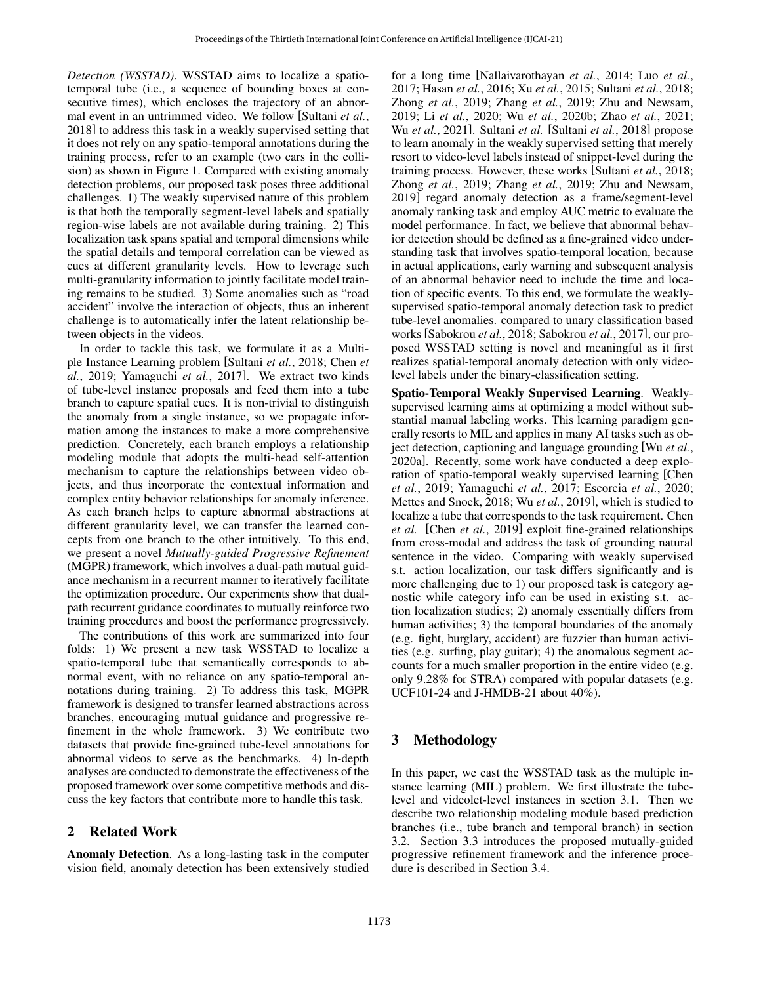*Detection (WSSTAD)*. WSSTAD aims to localize a spatiotemporal tube (i.e., a sequence of bounding boxes at consecutive times), which encloses the trajectory of an abnormal event in an untrimmed video. We follow [\[Sultani](#page-6-3) *et al.*, [2018\]](#page-6-3) to address this task in a weakly supervised setting that it does not rely on any spatio-temporal annotations during the training process, refer to an example (two cars in the collision) as shown in Figure [1.](#page-0-0) Compared with existing anomaly detection problems, our proposed task poses three additional challenges. 1) The weakly supervised nature of this problem is that both the temporally segment-level labels and spatially region-wise labels are not available during training. 2) This localization task spans spatial and temporal dimensions while the spatial details and temporal correlation can be viewed as cues at different granularity levels. How to leverage such multi-granularity information to jointly facilitate model training remains to be studied. 3) Some anomalies such as "road accident" involve the interaction of objects, thus an inherent challenge is to automatically infer the latent relationship between objects in the videos.

In order to tackle this task, we formulate it as a Multiple Instance Learning problem [\[Sultani](#page-6-3) *et al.*, 2018; [Chen](#page-6-7) *et al.*[, 2019;](#page-6-7) [Yamaguchi](#page-6-8) *et al.*, 2017]. We extract two kinds of tube-level instance proposals and feed them into a tube branch to capture spatial cues. It is non-trivial to distinguish the anomaly from a single instance, so we propagate information among the instances to make a more comprehensive prediction. Concretely, each branch employs a relationship modeling module that adopts the multi-head self-attention mechanism to capture the relationships between video objects, and thus incorporate the contextual information and complex entity behavior relationships for anomaly inference. As each branch helps to capture abnormal abstractions at different granularity level, we can transfer the learned concepts from one branch to the other intuitively. To this end, we present a novel *Mutually-guided Progressive Refinement* (MGPR) framework, which involves a dual-path mutual guidance mechanism in a recurrent manner to iteratively facilitate the optimization procedure. Our experiments show that dualpath recurrent guidance coordinates to mutually reinforce two training procedures and boost the performance progressively.

The contributions of this work are summarized into four folds: 1) We present a new task WSSTAD to localize a spatio-temporal tube that semantically corresponds to abnormal event, with no reliance on any spatio-temporal annotations during training. 2) To address this task, MGPR framework is designed to transfer learned abstractions across branches, encouraging mutual guidance and progressive refinement in the whole framework. 3) We contribute two datasets that provide fine-grained tube-level annotations for abnormal videos to serve as the benchmarks. 4) In-depth analyses are conducted to demonstrate the effectiveness of the proposed framework over some competitive methods and discuss the key factors that contribute more to handle this task.

## 2 Related Work

Anomaly Detection. As a long-lasting task in the computer vision field, anomaly detection has been extensively studied for a long time [\[Nallaivarothayan](#page-6-9) *et al.*, 2014; Luo *[et al.](#page-6-0)*, [2017;](#page-6-0) [Hasan](#page-6-1) *et al.*, 2016; Xu *et al.*[, 2015;](#page-6-2) [Sultani](#page-6-3) *et al.*, 2018; Zhong *et al.*[, 2019;](#page-6-4) Zhang *et al.*[, 2019;](#page-6-5) [Zhu and Newsam,](#page-6-6) [2019;](#page-6-6) Li *et al.*[, 2020;](#page-6-10) Wu *et al.*[, 2020b;](#page-6-11) Zhao *et al.*[, 2021;](#page-6-12) Wu *et al.*[, 2021\]](#page-6-13). Sultani *et al.* [\[Sultani](#page-6-3) *et al.*, 2018] propose to learn anomaly in the weakly supervised setting that merely resort to video-level labels instead of snippet-level during the training process. However, these works [\[Sultani](#page-6-3) *et al.*, 2018; Zhong *et al.*[, 2019;](#page-6-4) Zhang *et al.*[, 2019;](#page-6-5) [Zhu and Newsam,](#page-6-6) [2019\]](#page-6-6) regard anomaly detection as a frame/segment-level anomaly ranking task and employ AUC metric to evaluate the model performance. In fact, we believe that abnormal behavior detection should be defined as a fine-grained video understanding task that involves spatio-temporal location, because in actual applications, early warning and subsequent analysis of an abnormal behavior need to include the time and location of specific events. To this end, we formulate the weaklysupervised spatio-temporal anomaly detection task to predict tube-level anomalies. compared to unary classification based works [\[Sabokrou](#page-6-14) *et al.*, 2018; [Sabokrou](#page-6-15) *et al.*, 2017], our proposed WSSTAD setting is novel and meaningful as it first realizes spatial-temporal anomaly detection with only videolevel labels under the binary-classification setting.

Spatio-Temporal Weakly Supervised Learning. Weaklysupervised learning aims at optimizing a model without substantial manual labeling works. This learning paradigm generally resorts to MIL and applies in many AI tasks such as object detection, captioning and language grounding [Wu *[et al.](#page-6-16)*, [2020a\]](#page-6-16). Recently, some work have conducted a deep exploration of spatio-temporal weakly supervised learning [\[Chen](#page-6-7) *et al.*[, 2019;](#page-6-7) [Yamaguchi](#page-6-8) *et al.*, 2017; [Escorcia](#page-6-17) *et al.*, 2020; [Mettes and Snoek, 2018;](#page-6-18) Wu *et al.*[, 2019\]](#page-6-19), which is studied to localize a tube that corresponds to the task requirement. Chen *et al.* [Chen *et al.*[, 2019\]](#page-6-7) exploit fine-grained relationships from cross-modal and address the task of grounding natural sentence in the video. Comparing with weakly supervised s.t. action localization, our task differs significantly and is more challenging due to 1) our proposed task is category agnostic while category info can be used in existing s.t. action localization studies; 2) anomaly essentially differs from human activities; 3) the temporal boundaries of the anomaly (e.g. fight, burglary, accident) are fuzzier than human activities (e.g. surfing, play guitar); 4) the anomalous segment accounts for a much smaller proportion in the entire video (e.g. only 9.28% for STRA) compared with popular datasets (e.g. UCF101-24 and J-HMDB-21 about 40%).

## 3 Methodology

In this paper, we cast the WSSTAD task as the multiple instance learning (MIL) problem. We first illustrate the tubelevel and videolet-level instances in section 3.1. Then we describe two relationship modeling module based prediction branches (i.e., tube branch and temporal branch) in section 3.2. Section 3.3 introduces the proposed mutually-guided progressive refinement framework and the inference procedure is described in Section 3.4.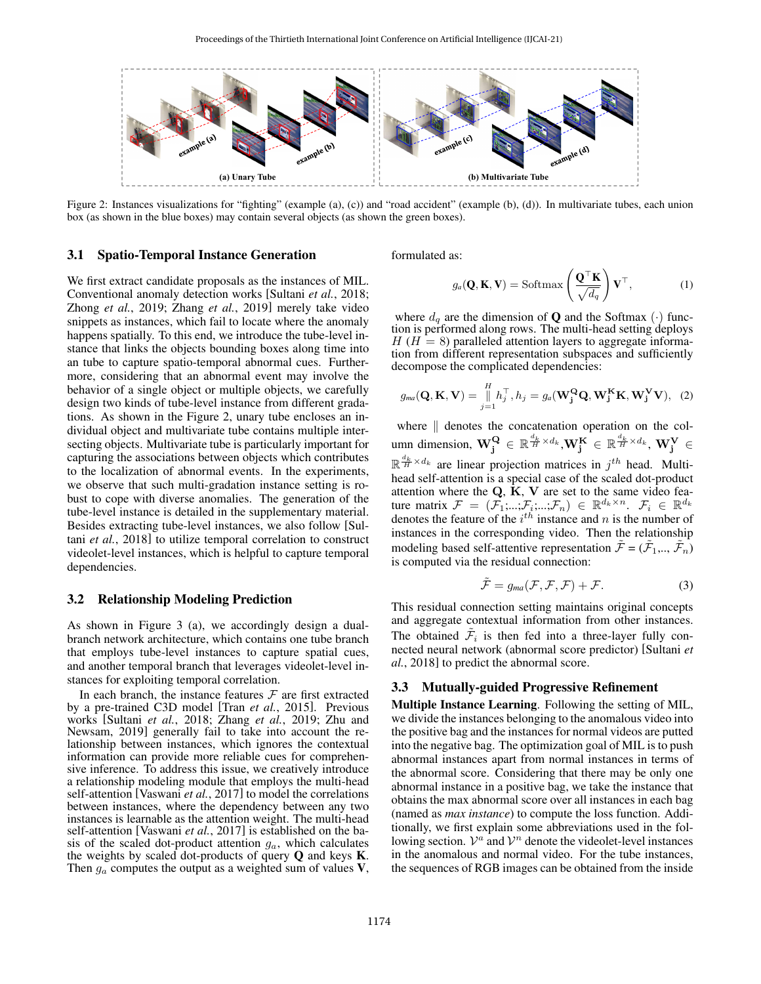<span id="page-2-0"></span>

Figure 2: Instances visualizations for "fighting" (example (a), (c)) and "road accident" (example (b), (d)). In multivariate tubes, each union box (as shown in the blue boxes) may contain several objects (as shown the green boxes).

#### 3.1 Spatio-Temporal Instance Generation

We first extract candidate proposals as the instances of MIL. Conventional anomaly detection works [\[Sultani](#page-6-3) *et al.*, 2018; Zhong *et al.*[, 2019;](#page-6-4) Zhang *et al.*[, 2019\]](#page-6-5) merely take video snippets as instances, which fail to locate where the anomaly happens spatially. To this end, we introduce the tube-level instance that links the objects bounding boxes along time into an tube to capture spatio-temporal abnormal cues. Furthermore, considering that an abnormal event may involve the behavior of a single object or multiple objects, we carefully design two kinds of tube-level instance from different gradations. As shown in the Figure [2,](#page-2-0) unary tube encloses an individual object and multivariate tube contains multiple intersecting objects. Multivariate tube is particularly important for capturing the associations between objects which contributes to the localization of abnormal events. In the experiments, we observe that such multi-gradation instance setting is robust to cope with diverse anomalies. The generation of the tube-level instance is detailed in the supplementary material. Besides extracting tube-level instances, we also follow [\[Sul](#page-6-3)tani *et al.*[, 2018\]](#page-6-3) to utilize temporal correlation to construct videolet-level instances, which is helpful to capture temporal dependencies.

#### 3.2 Relationship Modeling Prediction

As shown in Figure [3](#page-3-0) (a), we accordingly design a dualbranch network architecture, which contains one tube branch that employs tube-level instances to capture spatial cues, and another temporal branch that leverages videolet-level instances for exploiting temporal correlation.

In each branch, the instance features  $F$  are first extracted by a pre-trained C3D model [Tran *et al.*[, 2015\]](#page-6-20). Previous works [\[Sultani](#page-6-3) *et al.*, 2018; Zhang *et al.*[, 2019;](#page-6-5) [Zhu and](#page-6-6) [Newsam, 2019\]](#page-6-6) generally fail to take into account the relationship between instances, which ignores the contextual information can provide more reliable cues for comprehensive inference. To address this issue, we creatively introduce a relationship modeling module that employs the multi-head self-attention [\[Vaswani](#page-6-21) *et al.*, 2017] to model the correlations between instances, where the dependency between any two instances is learnable as the attention weight. The multi-head self-attention [\[Vaswani](#page-6-21) *et al.*, 2017] is established on the basis of the scaled dot-product attention  $g_a$ , which calculates the weights by scaled dot-products of query  $Q$  and keys  $K$ . Then  $g_a$  computes the output as a weighted sum of values  $V$ , formulated as:

$$
g_a(\mathbf{Q}, \mathbf{K}, \mathbf{V}) = \text{Softmax}\left(\frac{\mathbf{Q}^\top \mathbf{K}}{\sqrt{d_q}}\right) \mathbf{V}^\top, \tag{1}
$$

where  $d_q$  are the dimension of **Q** and the Softmax ( $\cdot$ ) function is performed along rows. The multi-head setting deploys  $H(H = 8)$  paralleled attention layers to aggregate information from different representation subspaces and sufficiently decompose the complicated dependencies:

$$
g_{ma}(\mathbf{Q}, \mathbf{K}, \mathbf{V}) = \prod_{j=1}^{H} h_j^{\top}, h_j = g_a(\mathbf{W_j^Q Q}, \mathbf{W_j^K K}, \mathbf{W_j^V V}), \tag{2}
$$

where  $\parallel$  denotes the concatenation operation on the column dimension,  $\bf{W}_j^Q \in \mathbb{R}^{\frac{d_k}{H} \times d_k}, \bf{W}_j^K \in \mathbb{R}^{\frac{d_k}{H} \times d_k}, \bf{W}_j^V \in$  $\mathbb{R}^{\frac{d_k}{H} \times d_k}$  are linear projection matrices in  $j^{th}$  head. Multihead self-attention is a special case of the scaled dot-product attention where the  $Q$ ,  $\tilde{K}$ ,  $V$  are set to the same video feature matrix  $\mathcal{F} = (\mathcal{F}_1; ...; \mathcal{F}_i; ...; \mathcal{F}_n) \in \mathbb{R}^{d_k \times n}$ .  $\mathcal{F}_i \in \mathbb{R}^{d_k}$ denotes the feature of the  $i^{th}$  instance and n is the number of instances in the corresponding video. Then the relationship modeling based self-attentive representation  $\tilde{\mathcal{F}} = (\tilde{\mathcal{F}}_1, ..., \tilde{\mathcal{F}}_n)$ is computed via the residual connection:

$$
\tilde{\mathcal{F}} = g_{ma}(\mathcal{F}, \mathcal{F}, \mathcal{F}) + \mathcal{F}.
$$
 (3)

This residual connection setting maintains original concepts and aggregate contextual information from other instances. The obtained  $\tilde{\mathcal{F}}_i$  is then fed into a three-layer fully connected neural network (abnormal score predictor) [\[Sultani](#page-6-3) *et al.*[, 2018\]](#page-6-3) to predict the abnormal score.

#### 3.3 Mutually-guided Progressive Refinement

Multiple Instance Learning. Following the setting of MIL, we divide the instances belonging to the anomalous video into the positive bag and the instances for normal videos are putted into the negative bag. The optimization goal of MIL is to push abnormal instances apart from normal instances in terms of the abnormal score. Considering that there may be only one abnormal instance in a positive bag, we take the instance that obtains the max abnormal score over all instances in each bag (named as *max instance*) to compute the loss function. Additionally, we first explain some abbreviations used in the following section.  $V^a$  and  $V^n$  denote the videolet-level instances in the anomalous and normal video. For the tube instances, the sequences of RGB images can be obtained from the inside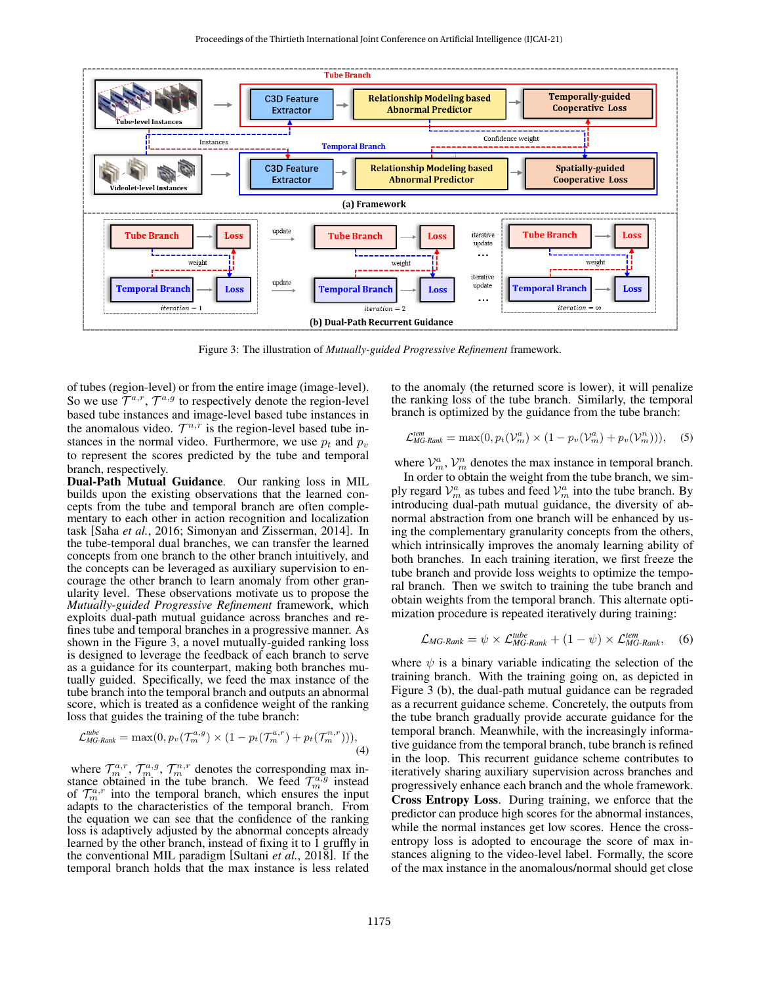<span id="page-3-0"></span>

Figure 3: The illustration of *Mutually-guided Progressive Refinement* framework.

of tubes (region-level) or from the entire image (image-level). So we use  $\mathcal{T}^{a,r}$ ,  $\mathcal{T}^{a,g}$  to respectively denote the region-level based tube instances and image-level based tube instances in the anomalous video.  $\mathcal{T}^{n,r}$  is the region-level based tube instances in the normal video. Furthermore, we use  $p_t$  and  $p_v$ to represent the scores predicted by the tube and temporal branch, respectively.

Dual-Path Mutual Guidance. Our ranking loss in MIL builds upon the existing observations that the learned concepts from the tube and temporal branch are often complementary to each other in action recognition and localization task [Saha *et al.*[, 2016;](#page-6-22) [Simonyan and Zisserman, 2014\]](#page-6-23). In the tube-temporal dual branches, we can transfer the learned concepts from one branch to the other branch intuitively, and the concepts can be leveraged as auxiliary supervision to encourage the other branch to learn anomaly from other granularity level. These observations motivate us to propose the *Mutually-guided Progressive Refinement* framework, which exploits dual-path mutual guidance across branches and refines tube and temporal branches in a progressive manner. As shown in the Figure [3,](#page-3-0) a novel mutually-guided ranking loss is designed to leverage the feedback of each branch to serve as a guidance for its counterpart, making both branches mutually guided. Specifically, we feed the max instance of the tube branch into the temporal branch and outputs an abnormal score, which is treated as a confidence weight of the ranking loss that guides the training of the tube branch:

$$
\mathcal{L}_{MG\text{-}Rank}^{tube} = \max(0, p_v(\mathcal{T}_m^{a,g}) \times (1 - p_t(\mathcal{T}_m^{a,r}) + p_t(\mathcal{T}_m^{n,r}))), \tag{4}
$$

where  $\mathcal{T}_m^{a,r}$ ,  $\mathcal{T}_m^{a,g}$ ,  $\mathcal{T}_m^{n,r}$  denotes the corresponding max instance obtained in the tube branch. We feed  $\mathcal{T}_m^{\alpha,g}$  instead of  $\mathcal{T}_m^{a,r}$  into the temporal branch, which ensures the input adapts to the characteristics of the temporal branch. From the equation we can see that the confidence of the ranking loss is adaptively adjusted by the abnormal concepts already learned by the other branch, instead of fixing it to 1 gruffly in the conventional MIL paradigm [\[Sultani](#page-6-3) *et al.*, 2018]. If the temporal branch holds that the max instance is less related to the anomaly (the returned score is lower), it will penalize the ranking loss of the tube branch. Similarly, the temporal branch is optimized by the guidance from the tube branch:

$$
\mathcal{L}_{MG\text{-}Rank}^{tem} = \max(0, p_t(\mathcal{V}_m^a) \times (1 - p_v(\mathcal{V}_m^a) + p_v(\mathcal{V}_m^n))), \quad (5)
$$

where  $\mathcal{V}_m^a$ ,  $\mathcal{V}_m^n$  denotes the max instance in temporal branch.

In order to obtain the weight from the tube branch, we simply regard  $\mathcal{V}_m^a$  as tubes and feed  $\mathcal{V}_m^a$  into the tube branch. By introducing dual-path mutual guidance, the diversity of abnormal abstraction from one branch will be enhanced by using the complementary granularity concepts from the others, which intrinsically improves the anomaly learning ability of both branches. In each training iteration, we first freeze the tube branch and provide loss weights to optimize the temporal branch. Then we switch to training the tube branch and obtain weights from the temporal branch. This alternate optimization procedure is repeated iteratively during training:

$$
\mathcal{L}_{MG\text{-}Rank} = \psi \times \mathcal{L}_{MG\text{-}Rank}^{tube} + (1 - \psi) \times \mathcal{L}_{MG\text{-}Rank}^{tem}, \quad (6)
$$

where  $\psi$  is a binary variable indicating the selection of the training branch. With the training going on, as depicted in Figure [3](#page-3-0) (b), the dual-path mutual guidance can be regraded as a recurrent guidance scheme. Concretely, the outputs from the tube branch gradually provide accurate guidance for the temporal branch. Meanwhile, with the increasingly informative guidance from the temporal branch, tube branch is refined in the loop. This recurrent guidance scheme contributes to iteratively sharing auxiliary supervision across branches and progressively enhance each branch and the whole framework. Cross Entropy Loss. During training, we enforce that the predictor can produce high scores for the abnormal instances, while the normal instances get low scores. Hence the crossentropy loss is adopted to encourage the score of max instances aligning to the video-level label. Formally, the score of the max instance in the anomalous/normal should get close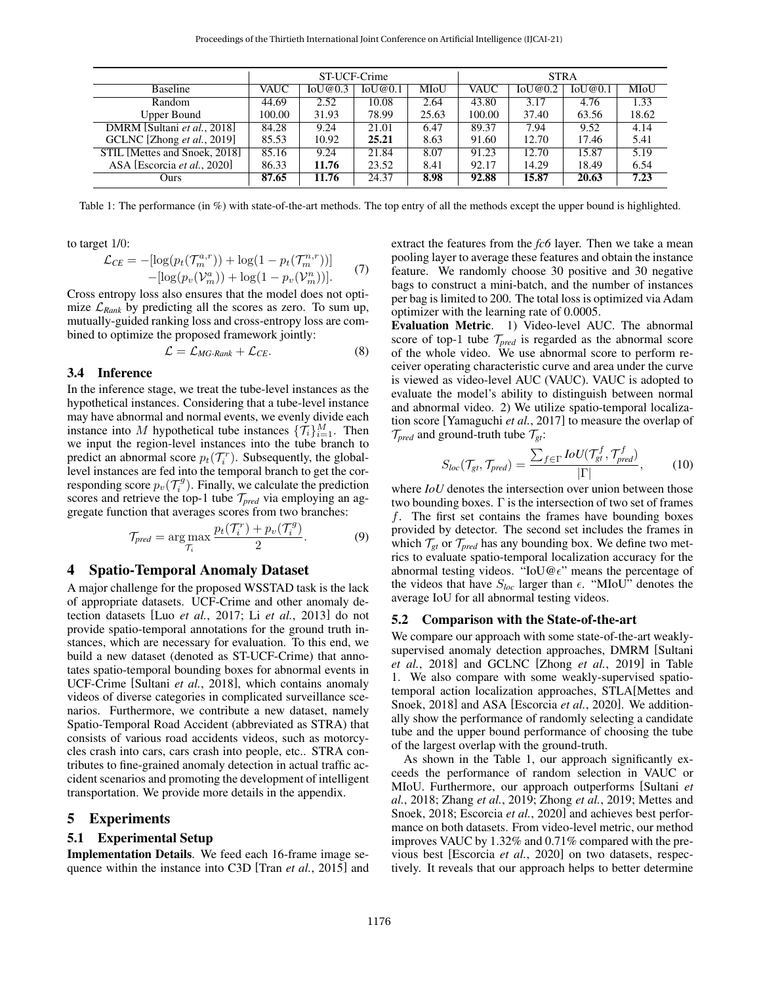<span id="page-4-0"></span>

|                               | ST-UCF-Crime |         |         | <b>STRA</b> |             |         |         |       |
|-------------------------------|--------------|---------|---------|-------------|-------------|---------|---------|-------|
| <b>Baseline</b>               | VAUC         | IoU@0.3 | IoU@0.1 | MIoU        | <b>VAUC</b> | IoU@0.2 | IoU@0.1 | MIoU  |
| Random                        | 44.69        | 2.52    | 10.08   | 2.64        | 43.80       | 3.17    | 4.76    | 1.33  |
| Upper Bound                   | 100.00       | 31.93   | 78.99   | 25.63       | 100.00      | 37.40   | 63.56   | 18.62 |
| DMRM [Sultani et al., 2018]   | 84.28        | 9.24    | 21.01   | 6.47        | 89.37       | 7.94    | 9.52    | 4.14  |
| GCLNC [Zhong et al., 2019]    | 85.53        | 10.92   | 25.21   | 8.63        | 91.60       | 12.70   | 17.46   | 5.41  |
| STIL [Mettes and Snoek, 2018] | 85.16        | 9.24    | 21.84   | 8.07        | 91.23       | 12.70   | 15.87   | 5.19  |
| ASA [Escorcia et al., 2020]   | 86.33        | 11.76   | 23.52   | 8.41        | 92.17       | 14.29   | 18.49   | 6.54  |
| Ours                          | 87.65        | 11.76   | 24.37   | 8.98        | 92.88       | 15.87   | 20.63   | 7.23  |

Table 1: The performance (in %) with state-of-the-art methods. The top entry of all the methods except the upper bound is highlighted.

to target 1/0:

$$
\mathcal{L}_{CE} = -[\log(p_t(\mathcal{T}_m^{a,r})) + \log(1 - p_t(\mathcal{T}_m^{n,r}))]
$$
  
-  $[\log(p_v(\mathcal{V}_m^a)) + \log(1 - p_v(\mathcal{V}_m^m))].$  (7)

Cross entropy loss also ensures that the model does not optimize  $\mathcal{L}_{Rank}$  by predicting all the scores as zero. To sum up, mutually-guided ranking loss and cross-entropy loss are combined to optimize the proposed framework jointly:

$$
\mathcal{L} = \mathcal{L}_{MG\text{-}Rank} + \mathcal{L}_{CE}. \tag{8}
$$

#### 3.4 Inference

In the inference stage, we treat the tube-level instances as the hypothetical instances. Considering that a tube-level instance may have abnormal and normal events, we evenly divide each instance into M hypothetical tube instances  $\{\mathcal{T}_i\}_{i=1}^M$ . Then we input the region-level instances into the tube branch to predict an abnormal score  $p_t(\mathcal{T}_i^r)$ . Subsequently, the globallevel instances are fed into the temporal branch to get the corresponding score  $p_v(\mathcal{T}_i^g)$ . Finally, we calculate the prediction scores and retrieve the top-1 tube  $\mathcal{T}_{pred}$  via employing an aggregate function that averages scores from two branches:

$$
\mathcal{T}_{pred} = \underset{\mathcal{T}_i}{\arg \max} \frac{p_t(\mathcal{T}_i^r) + p_v(\mathcal{T}_i^g)}{2}.
$$
 (9)

#### 4 Spatio-Temporal Anomaly Dataset

A major challenge for the proposed WSSTAD task is the lack of appropriate datasets. UCF-Crime and other anomaly detection datasets [Luo *et al.*[, 2017;](#page-6-0) Li *et al.*[, 2013\]](#page-6-24) do not provide spatio-temporal annotations for the ground truth instances, which are necessary for evaluation. To this end, we build a new dataset (denoted as ST-UCF-Crime) that annotates spatio-temporal bounding boxes for abnormal events in UCF-Crime [\[Sultani](#page-6-3) *et al.*, 2018], which contains anomaly videos of diverse categories in complicated surveillance scenarios. Furthermore, we contribute a new dataset, namely Spatio-Temporal Road Accident (abbreviated as STRA) that consists of various road accidents videos, such as motorcycles crash into cars, cars crash into people, etc.. STRA contributes to fine-grained anomaly detection in actual traffic accident scenarios and promoting the development of intelligent transportation. We provide more details in the appendix.

#### 5 Experiments

#### 5.1 Experimental Setup

Implementation Details. We feed each 16-frame image sequence within the instance into C3D [Tran *et al.*[, 2015\]](#page-6-20) and extract the features from the *fc6* layer. Then we take a mean pooling layer to average these features and obtain the instance feature. We randomly choose 30 positive and 30 negative bags to construct a mini-batch, and the number of instances per bag is limited to 200. The total loss is optimized via Adam optimizer with the learning rate of 0.0005.

Evaluation Metric. 1) Video-level AUC. The abnormal score of top-1 tube T*pred* is regarded as the abnormal score of the whole video. We use abnormal score to perform receiver operating characteristic curve and area under the curve is viewed as video-level AUC (VAUC). VAUC is adopted to evaluate the model's ability to distinguish between normal and abnormal video. 2) We utilize spatio-temporal localization score [\[Yamaguchi](#page-6-8) *et al.*, 2017] to measure the overlap of  $\mathcal{T}_{pred}$  and ground-truth tube  $\mathcal{T}_{gt}$ :

$$
S_{loc}(\mathcal{T}_{gt}, \mathcal{T}_{pred}) = \frac{\sum_{f \in \Gamma} IoU(\mathcal{T}_{gt}^f, \mathcal{T}_{pred}^f)}{|\Gamma|},\tag{10}
$$

where *IoU* denotes the intersection over union between those two bounding boxes.  $\Gamma$  is the intersection of two set of frames  $f$ . The first set contains the frames have bounding boxes provided by detector. The second set includes the frames in which  $\mathcal{T}_{gt}$  or  $\mathcal{T}_{pred}$  has any bounding box. We define two metrics to evaluate spatio-temporal localization accuracy for the abnormal testing videos. "IoU@ $\epsilon$ " means the percentage of the videos that have  $S_{loc}$  larger than  $\epsilon$ . "MIoU" denotes the average IoU for all abnormal testing videos.

#### 5.2 Comparison with the State-of-the-art

We compare our approach with some state-of-the-art weaklysupervised anomaly detection approaches, DMRM [\[Sultani](#page-6-3) *et al.*[, 2018\]](#page-6-3) and GCLNC [Zhong *et al.*[, 2019\]](#page-6-4) in Table [1.](#page-4-0) We also compare with some weakly-supervised spatiotemporal action localization approaches, STLA[\[Mettes and](#page-6-18) [Snoek, 2018\]](#page-6-18) and ASA [\[Escorcia](#page-6-17) *et al.*, 2020]. We additionally show the performance of randomly selecting a candidate tube and the upper bound performance of choosing the tube of the largest overlap with the ground-truth.

As shown in the Table [1,](#page-4-0) our approach significantly exceeds the performance of random selection in VAUC or MIoU. Furthermore, our approach outperforms [\[Sultani](#page-6-3) *et al.*[, 2018;](#page-6-3) [Zhang](#page-6-5) *et al.*, 2019; [Zhong](#page-6-4) *et al.*, 2019; [Mettes and](#page-6-18) [Snoek, 2018;](#page-6-18) [Escorcia](#page-6-17) *et al.*, 2020] and achieves best performance on both datasets. From video-level metric, our method improves VAUC by 1.32% and 0.71% compared with the previous best [\[Escorcia](#page-6-17) *et al.*, 2020] on two datasets, respectively. It reveals that our approach helps to better determine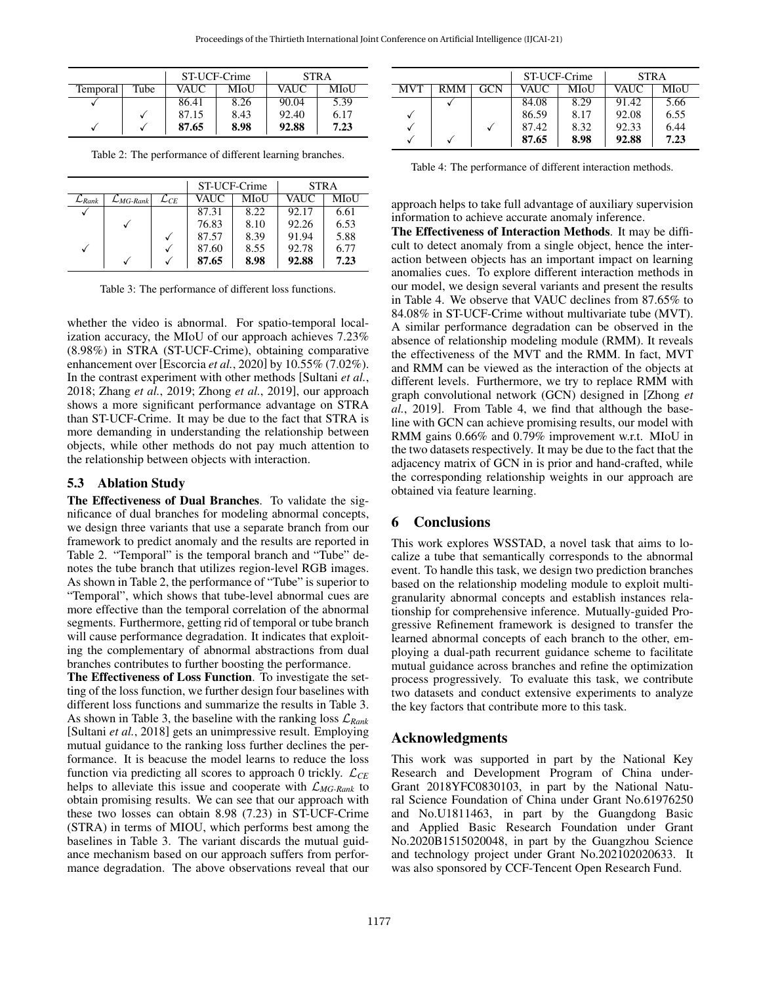<span id="page-5-0"></span>

|          |      | ST-UCF-Crime |      | <b>STRA</b> |      |  |
|----------|------|--------------|------|-------------|------|--|
| Temporal | Tube | VAUC         | MIoU | <b>VAUC</b> | MIoU |  |
|          |      | 86.41        | 8.26 | 90.04       | 5.39 |  |
|          | V    | 87.15        | 8.43 | 92.40       | 6.17 |  |
|          |      | 87.65        | 8.98 | 92.88       | 7.23 |  |

Table 2: The performance of different learning branches.

<span id="page-5-1"></span>

|                      |                         |                    | ST-UCF-Crime |      | <b>STRA</b> |      |
|----------------------|-------------------------|--------------------|--------------|------|-------------|------|
| $\mathcal{L}_{Rank}$ | $\mathcal{L}_{MG-Rank}$ | $\mathcal{L}_{CE}$ | VAUC         | MIoU | VAUC        | MIoU |
| √                    |                         |                    | 87.31        | 8.22 | 92.17       | 6.61 |
|                      |                         |                    | 76.83        | 8.10 | 92.26       | 6.53 |
|                      |                         |                    | 87.57        | 8.39 | 91.94       | 5.88 |
|                      |                         |                    | 87.60        | 8.55 | 92.78       | 6.77 |
|                      |                         |                    | 87.65        | 8.98 | 92.88       | 7.23 |

Table 3: The performance of different loss functions.

whether the video is abnormal. For spatio-temporal localization accuracy, the MIoU of our approach achieves 7.23% (8.98%) in STRA (ST-UCF-Crime), obtaining comparative enhancement over [\[Escorcia](#page-6-17) *et al.*, 2020] by 10.55% (7.02%). In the contrast experiment with other methods [\[Sultani](#page-6-3) *et al.*, [2018;](#page-6-3) Zhang *et al.*[, 2019;](#page-6-5) Zhong *et al.*[, 2019\]](#page-6-4), our approach shows a more significant performance advantage on STRA than ST-UCF-Crime. It may be due to the fact that STRA is more demanding in understanding the relationship between objects, while other methods do not pay much attention to the relationship between objects with interaction.

#### 5.3 Ablation Study

The Effectiveness of Dual Branches. To validate the significance of dual branches for modeling abnormal concepts, we design three variants that use a separate branch from our framework to predict anomaly and the results are reported in Table [2.](#page-5-0) "Temporal" is the temporal branch and "Tube" denotes the tube branch that utilizes region-level RGB images. As shown in Table [2,](#page-5-0) the performance of "Tube" is superior to "Temporal", which shows that tube-level abnormal cues are more effective than the temporal correlation of the abnormal segments. Furthermore, getting rid of temporal or tube branch will cause performance degradation. It indicates that exploiting the complementary of abnormal abstractions from dual branches contributes to further boosting the performance.

The Effectiveness of Loss Function. To investigate the setting of the loss function, we further design four baselines with different loss functions and summarize the results in Table [3.](#page-5-1) As shown in Table [3,](#page-5-1) the baseline with the ranking loss  $\mathcal{L}_{Rank}$ [\[Sultani](#page-6-3) *et al.*, 2018] gets an unimpressive result. Employing mutual guidance to the ranking loss further declines the performance. It is beacuse the model learns to reduce the loss function via predicting all scores to approach 0 trickly.  $\mathcal{L}_{CE}$ helps to alleviate this issue and cooperate with L*MG-Rank* to obtain promising results. We can see that our approach with these two losses can obtain 8.98 (7.23) in ST-UCF-Crime (STRA) in terms of MIOU, which performs best among the baselines in Table [3.](#page-5-1) The variant discards the mutual guidance mechanism based on our approach suffers from performance degradation. The above observations reveal that our

<span id="page-5-2"></span>

|            |     | ST-UCF-Crime |             | <b>STRA</b> |       |      |
|------------|-----|--------------|-------------|-------------|-------|------|
| <b>MVT</b> | RMM | GCN          | <b>VAUC</b> | MIoU        | VAUC  | MIoU |
|            |     |              | 84.08       | 8.29        | 91.42 | 5.66 |
|            |     |              | 86.59       | 8.17        | 92.08 | 6.55 |
|            |     |              | 87.42       | 8.32        | 92.33 | 6.44 |
|            |     |              | 87.65       | 8.98        | 92.88 | 7.23 |

Table 4: The performance of different interaction methods.

approach helps to take full advantage of auxiliary supervision information to achieve accurate anomaly inference.

The Effectiveness of Interaction Methods. It may be difficult to detect anomaly from a single object, hence the interaction between objects has an important impact on learning anomalies cues. To explore different interaction methods in our model, we design several variants and present the results in Table [4.](#page-5-2) We observe that VAUC declines from 87.65% to 84.08% in ST-UCF-Crime without multivariate tube (MVT). A similar performance degradation can be observed in the absence of relationship modeling module (RMM). It reveals the effectiveness of the MVT and the RMM. In fact, MVT and RMM can be viewed as the interaction of the objects at different levels. Furthermore, we try to replace RMM with graph convolutional network (GCN) designed in [\[Zhong](#page-6-4) *et al.*[, 2019\]](#page-6-4). From Table [4,](#page-5-2) we find that although the baseline with GCN can achieve promising results, our model with RMM gains 0.66% and 0.79% improvement w.r.t. MIoU in the two datasets respectively. It may be due to the fact that the adjacency matrix of GCN in is prior and hand-crafted, while the corresponding relationship weights in our approach are obtained via feature learning.

## 6 Conclusions

This work explores WSSTAD, a novel task that aims to localize a tube that semantically corresponds to the abnormal event. To handle this task, we design two prediction branches based on the relationship modeling module to exploit multigranularity abnormal concepts and establish instances relationship for comprehensive inference. Mutually-guided Progressive Refinement framework is designed to transfer the learned abnormal concepts of each branch to the other, employing a dual-path recurrent guidance scheme to facilitate mutual guidance across branches and refine the optimization process progressively. To evaluate this task, we contribute two datasets and conduct extensive experiments to analyze the key factors that contribute more to this task.

## Acknowledgments

This work was supported in part by the National Key Research and Development Program of China under-Grant 2018YFC0830103, in part by the National Natural Science Foundation of China under Grant No.61976250 and No.U1811463, in part by the Guangdong Basic and Applied Basic Research Foundation under Grant No.2020B1515020048, in part by the Guangzhou Science and technology project under Grant No.202102020633. It was also sponsored by CCF-Tencent Open Research Fund.